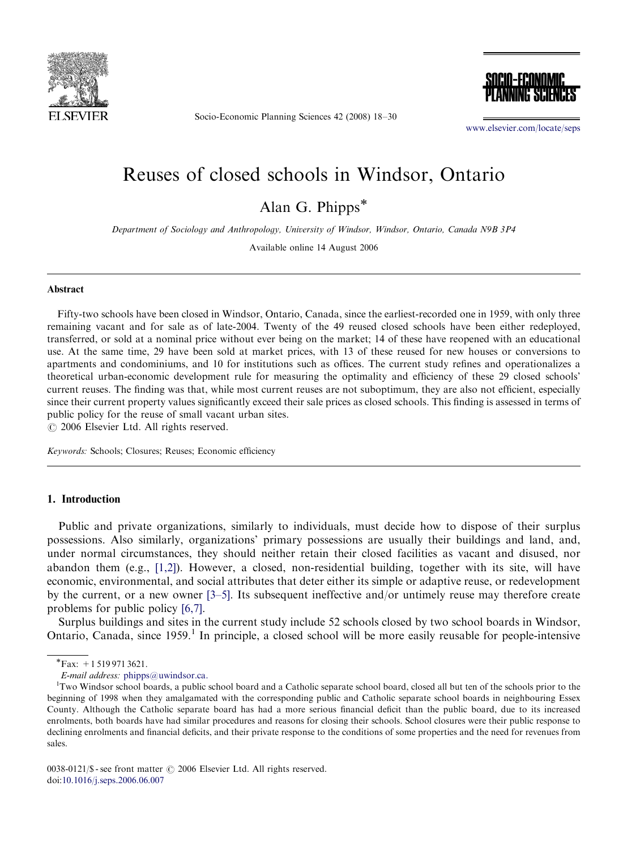

Socio-Economic Planning Sciences 42 (2008) 18–30



<www.elsevier.com/locate/seps>

# Reuses of closed schools in Windsor, Ontario

Alan G. Phipps\*

Department of Sociology and Anthropology, University of Windsor, Windsor, Ontario, Canada N9B 3P4

Available online 14 August 2006

#### Abstract

Fifty-two schools have been closed in Windsor, Ontario, Canada, since the earliest-recorded one in 1959, with only three remaining vacant and for sale as of late-2004. Twenty of the 49 reused closed schools have been either redeployed, transferred, or sold at a nominal price without ever being on the market; 14 of these have reopened with an educational use. At the same time, 29 have been sold at market prices, with 13 of these reused for new houses or conversions to apartments and condominiums, and 10 for institutions such as offices. The current study refines and operationalizes a theoretical urban-economic development rule for measuring the optimality and efficiency of these 29 closed schools' current reuses. The finding was that, while most current reuses are not suboptimum, they are also not efficient, especially since their current property values significantly exceed their sale prices as closed schools. This finding is assessed in terms of public policy for the reuse of small vacant urban sites.

 $\odot$  2006 Elsevier Ltd. All rights reserved.

Keywords: Schools; Closures; Reuses; Economic efficiency

#### 1. Introduction

Public and private organizations, similarly to individuals, must decide how to dispose of their surplus possessions. Also similarly, organizations' primary possessions are usually their buildings and land, and, under normal circumstances, they should neither retain their closed facilities as vacant and disused, nor abandon them (e.g., [\[1,2\]\)](#page-11-0). However, a closed, non-residential building, together with its site, will have economic, environmental, and social attributes that deter either its simple or adaptive reuse, or redevelopment by the current, or a new owner [\[3–5\]](#page-11-0). Its subsequent ineffective and/or untimely reuse may therefore create problems for public policy [\[6,7\].](#page-11-0)

Surplus buildings and sites in the current study include 52 schools closed by two school boards in Windsor, Ontario, Canada, since  $1959$ .<sup>1</sup> In principle, a closed school will be more easily reusable for people-intensive

 $\sqrt{\text{Fax:}} + 15199713621.$ 

E-mail address: [phipps@uwindsor.ca.](mailto:phipps@uwindsor.ca)

Two Windsor school boards, a public school board and a Catholic separate school board, closed all but ten of the schools prior to the beginning of 1998 when they amalgamated with the corresponding public and Catholic separate school boards in neighbouring Essex County. Although the Catholic separate board has had a more serious financial deficit than the public board, due to its increased enrolments, both boards have had similar procedures and reasons for closing their schools. School closures were their public response to declining enrolments and financial deficits, and their private response to the conditions of some properties and the need for revenues from sales.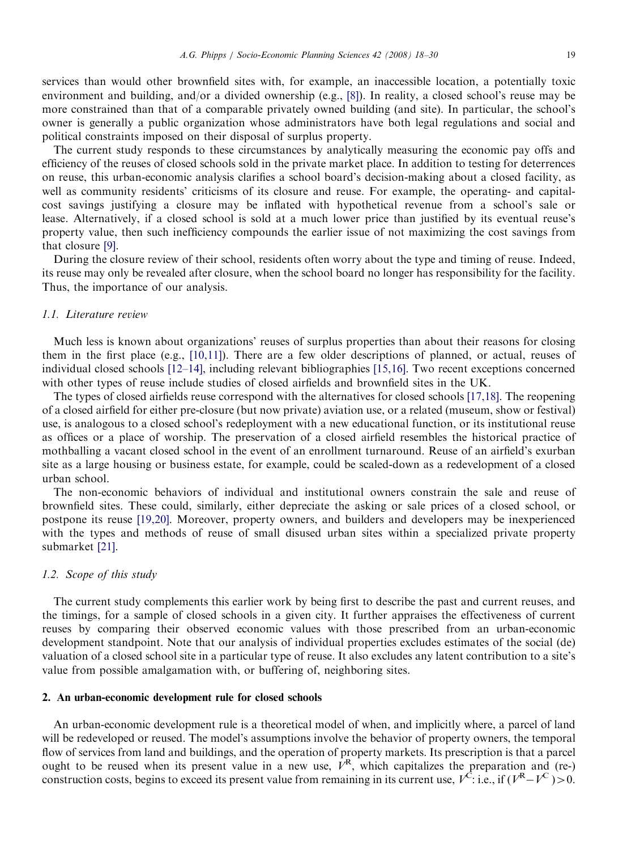services than would other brownfield sites with, for example, an inaccessible location, a potentially toxic environment and building, and/or a divided ownership (e.g., [\[8\]\)](#page-11-0). In reality, a closed school's reuse may be more constrained than that of a comparable privately owned building (and site). In particular, the school's owner is generally a public organization whose administrators have both legal regulations and social and political constraints imposed on their disposal of surplus property.

The current study responds to these circumstances by analytically measuring the economic pay offs and efficiency of the reuses of closed schools sold in the private market place. In addition to testing for deterrences on reuse, this urban-economic analysis clarifies a school board's decision-making about a closed facility, as well as community residents' criticisms of its closure and reuse. For example, the operating- and capitalcost savings justifying a closure may be inflated with hypothetical revenue from a school's sale or lease. Alternatively, if a closed school is sold at a much lower price than justified by its eventual reuse's property value, then such inefficiency compounds the earlier issue of not maximizing the cost savings from that closure [\[9\]](#page-11-0).

During the closure review of their school, residents often worry about the type and timing of reuse. Indeed, its reuse may only be revealed after closure, when the school board no longer has responsibility for the facility. Thus, the importance of our analysis.

#### 1.1. Literature review

Much less is known about organizations' reuses of surplus properties than about their reasons for closing them in the first place (e.g., [\[10,11\]](#page-11-0)). There are a few older descriptions of planned, or actual, reuses of individual closed schools [\[12–14\]](#page-11-0), including relevant bibliographies [\[15,16\].](#page-11-0) Two recent exceptions concerned with other types of reuse include studies of closed airfields and brownfield sites in the UK.

The types of closed airfields reuse correspond with the alternatives for closed schools [\[17,18\]](#page-11-0). The reopening of a closed airfield for either pre-closure (but now private) aviation use, or a related (museum, show or festival) use, is analogous to a closed school's redeployment with a new educational function, or its institutional reuse as offices or a place of worship. The preservation of a closed airfield resembles the historical practice of mothballing a vacant closed school in the event of an enrollment turnaround. Reuse of an airfield's exurban site as a large housing or business estate, for example, could be scaled-down as a redevelopment of a closed urban school.

The non-economic behaviors of individual and institutional owners constrain the sale and reuse of brownfield sites. These could, similarly, either depreciate the asking or sale prices of a closed school, or postpone its reuse [\[19,20\].](#page-11-0) Moreover, property owners, and builders and developers may be inexperienced with the types and methods of reuse of small disused urban sites within a specialized private property submarket [\[21\].](#page-11-0)

#### 1.2. Scope of this study

The current study complements this earlier work by being first to describe the past and current reuses, and the timings, for a sample of closed schools in a given city. It further appraises the effectiveness of current reuses by comparing their observed economic values with those prescribed from an urban-economic development standpoint. Note that our analysis of individual properties excludes estimates of the social (de) valuation of a closed school site in a particular type of reuse. It also excludes any latent contribution to a site's value from possible amalgamation with, or buffering of, neighboring sites.

#### 2. An urban-economic development rule for closed schools

An urban-economic development rule is a theoretical model of when, and implicitly where, a parcel of land will be redeveloped or reused. The model's assumptions involve the behavior of property owners, the temporal flow of services from land and buildings, and the operation of property markets. Its prescription is that a parcel ought to be reused when its present value in a new use,  $V<sup>R</sup>$ , which capitalizes the preparation and (re-) construction costs, begins to exceed its present value from remaining in its current use,  $V^C$ : i.e., if  $(V^R - V^C) > 0$ .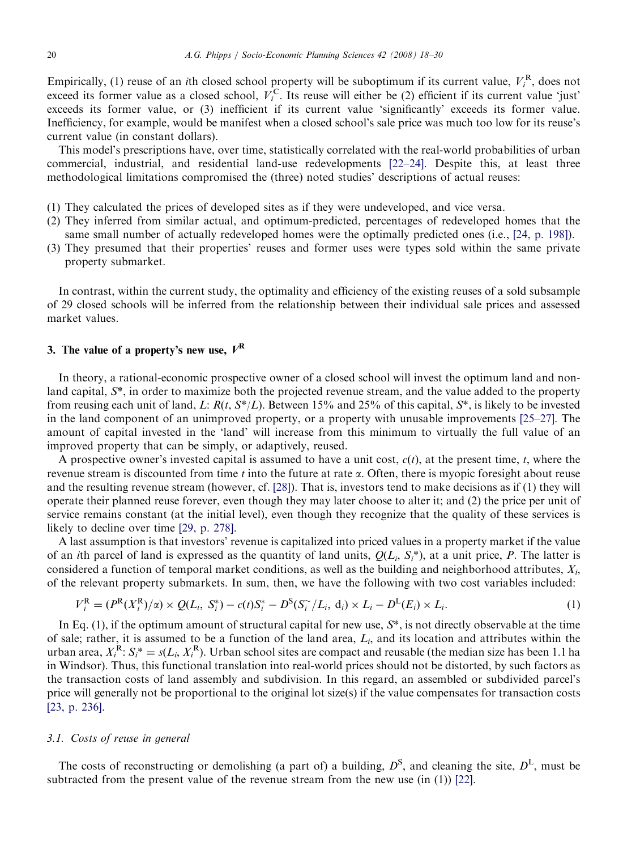Empirically, (1) reuse of an *i*th closed school property will be suboptimum if its current value,  $V_i^R$ , does not exceed its former value as a closed school,  $V_i^C$ . Its reuse will either be (2) efficient if its current value 'just' exceeds its former value, or (3) inefficient if its current value 'significantly' exceeds its former value. Inefficiency, for example, would be manifest when a closed school's sale price was much too low for its reuse's current value (in constant dollars).

This model's prescriptions have, over time, statistically correlated with the real-world probabilities of urban commercial, industrial, and residential land-use redevelopments [\[22–24\].](#page-11-0) Despite this, at least three methodological limitations compromised the (three) noted studies' descriptions of actual reuses:

- (1) They calculated the prices of developed sites as if they were undeveloped, and vice versa.
- (2) They inferred from similar actual, and optimum-predicted, percentages of redeveloped homes that the same small number of actually redeveloped homes were the optimally predicted ones (i.e., [\[24, p. 198\]\)](#page-12-0).
- (3) They presumed that their properties' reuses and former uses were types sold within the same private property submarket.

In contrast, within the current study, the optimality and efficiency of the existing reuses of a sold subsample of 29 closed schools will be inferred from the relationship between their individual sale prices and assessed market values.

# 3. The value of a property's new use,  $V^R$

In theory, a rational-economic prospective owner of a closed school will invest the optimum land and nonland capital, S\*, in order to maximize both the projected revenue stream, and the value added to the property from reusing each unit of land, L:  $R(t, S^*/L)$ . Between 15% and 25% of this capital,  $S^*$ , is likely to be invested in the land component of an unimproved property, or a property with unusable improvements [\[25–27\].](#page-12-0) The amount of capital invested in the 'land' will increase from this minimum to virtually the full value of an improved property that can be simply, or adaptively, reused.

A prospective owner's invested capital is assumed to have a unit cost,  $c(t)$ , at the present time, t, where the revenue stream is discounted from time t into the future at rate  $\alpha$ . Often, there is myopic foresight about reuse and the resulting revenue stream (however, cf. [\[28\]](#page-12-0)). That is, investors tend to make decisions as if (1) they will operate their planned reuse forever, even though they may later choose to alter it; and (2) the price per unit of service remains constant (at the initial level), even though they recognize that the quality of these services is likely to decline over time [\[29, p. 278\]](#page-12-0).

A last assumption is that investors' revenue is capitalized into priced values in a property market if the value of an *i*th parcel of land is expressed as the quantity of land units,  $Q(L_i, S_i^*)$ , at a unit price, P. The latter is considered a function of temporal market conditions, as well as the building and neighborhood attributes,  $X_i$ , of the relevant property submarkets. In sum, then, we have the following with two cost variables included:

$$
V_i^{\rm R} = (P^{\rm R}(X_i^{\rm R})/\alpha) \times Q(L_i, S_i^*) - c(t)S_i^* - D^{\rm S}(S_i^*/L_i, d_i) \times L_i - D^{\rm L}(E_i) \times L_i.
$$
 (1)

In Eq.  $(1)$ , if the optimum amount of structural capital for new use,  $S^*$ , is not directly observable at the time of sale; rather, it is assumed to be a function of the land area,  $L_i$ , and its location and attributes within the urban area,  $X_i^R$ :  $S_i^* = s(L_i, X_i^R)$ . Urban school sites are compact and reusable (the median size has been 1.1 ha in Windsor). Thus, this functional translation into real-world prices should not be distorted, by such factors as the transaction costs of land assembly and subdivision. In this regard, an assembled or subdivided parcel's price will generally not be proportional to the original lot size(s) if the value compensates for transaction costs [\[23, p. 236\]](#page-12-0).

#### 3.1. Costs of reuse in general

The costs of reconstructing or demolishing (a part of) a building,  $D^S$ , and cleaning the site,  $D^L$ , must be subtracted from the present value of the revenue stream from the new use (in (1)) [\[22\]](#page-11-0).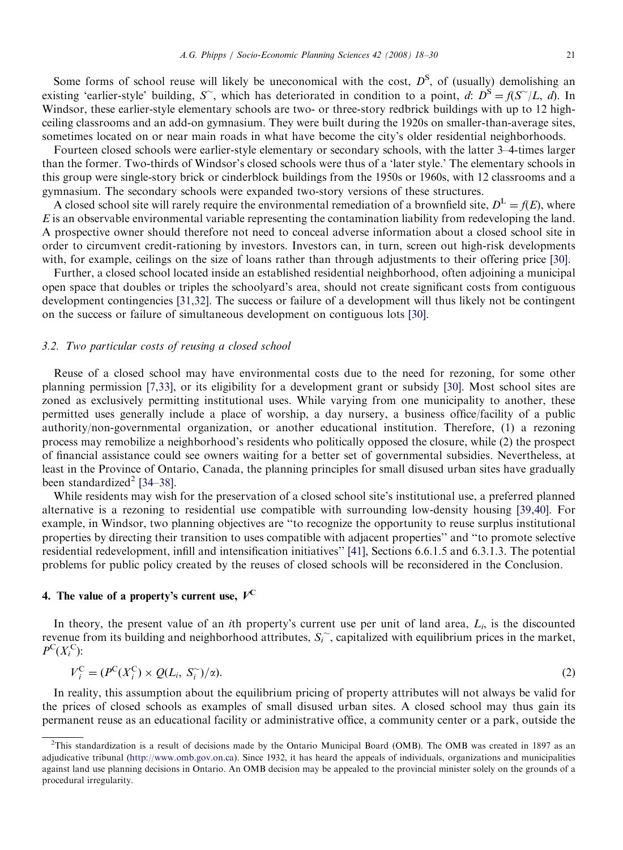Some forms of school reuse will likely be uneconomical with the cost,  $D^S$ , of (usually) demolishing an existing 'earlier-style' building, S, which has deteriorated in condition to a point, d:  $D^S = f(S^{\sim}/L, d)$ . In Windsor, these earlier-style elementary schools are two- or three-story redbrick buildings with up to 12 highceiling classrooms and an add-on gymnasium. They were built during the 1920s on smaller-than-average sites, sometimes located on or near main roads in what have become the city's older residential neighborhoods.

Fourteen closed schools were earlier-style elementary or secondary schools, with the latter 3–4-times larger than the former. Two-thirds of Windsor's closed schools were thus of a 'later style.' The elementary schools in this group were single-story brick or cinderblock buildings from the 1950s or 1960s, with 12 classrooms and a gymnasium. The secondary schools were expanded two-story versions of these structures.

A closed school site will rarely require the environmental remediation of a brownfield site,  $D^L = f(E)$ , where E is an observable environmental variable representing the contamination liability from redeveloping the land. A prospective owner should therefore not need to conceal adverse information about a closed school site in order to circumvent credit-rationing by investors. Investors can, in turn, screen out high-risk developments with, for example, ceilings on the size of loans rather than through adjustments to their offering price [\[30\]](#page-12-0).

Further, a closed school located inside an established residential neighborhood, often adjoining a municipal open space that doubles or triples the schoolyard's area, should not create significant costs from contiguous development contingencies [\[31,32\].](#page-12-0) The success or failure of a development will thus likely not be contingent on the success or failure of simultaneous development on contiguous lots [\[30\]](#page-12-0).

#### 3.2. Two particular costs of reusing a closed school

Reuse of a closed school may have environmental costs due to the need for rezoning, for some other planning permission [\[7,33\]](#page-11-0), or its eligibility for a development grant or subsidy [\[30\]](#page-12-0). Most school sites are zoned as exclusively permitting institutional uses. While varying from one municipality to another, these permitted uses generally include a place of worship, a day nursery, a business office/facility of a public authority/non-governmental organization, or another educational institution. Therefore, (1) a rezoning process may remobilize a neighborhood's residents who politically opposed the closure, while (2) the prospect of financial assistance could see owners waiting for a better set of governmental subsidies. Nevertheless, at least in the Province of Ontario, Canada, the planning principles for small disused urban sites have gradually been standardized<sup>2</sup> [\[34–38\].](#page-12-0)

While residents may wish for the preservation of a closed school site's institutional use, a preferred planned alternative is a rezoning to residential use compatible with surrounding low-density housing [\[39,40\].](#page-12-0) For example, in Windsor, two planning objectives are ''to recognize the opportunity to reuse surplus institutional properties by directing their transition to uses compatible with adjacent properties'' and ''to promote selective residential redevelopment, infill and intensification initiatives'' [\[41\]](#page-12-0), Sections 6.6.1.5 and 6.3.1.3. The potential problems for public policy created by the reuses of closed schools will be reconsidered in the Conclusion.

# 4. The value of a property's current use,  $V^C$

In theory, the present value of an *i*th property's current use per unit of land area,  $L_i$ , is the discounted revenue from its building and neighborhood attributes,  $S_i^{\sim}$ , capitalized with equilibrium prices in the market,  $P^{\mathcal{C}}(X_i^{\mathcal{C}})$ :

$$
V_i^{\mathcal{C}} = (P^{\mathcal{C}}(X_i^{\mathcal{C}}) \times Q(L_i, S_i^{\sim})/\alpha). \tag{2}
$$

In reality, this assumption about the equilibrium pricing of property attributes will not always be valid for the prices of closed schools as examples of small disused urban sites. A closed school may thus gain its permanent reuse as an educational facility or administrative office, a community center or a park, outside the

<sup>&</sup>lt;sup>2</sup>This standardization is a result of decisions made by the Ontario Municipal Board (OMB). The OMB was created in 1897 as an adjudicative tribunal [\(http://www.omb.gov.on.ca\)](http://www.omb.gov.on.ca). Since 1932, it has heard the appeals of individuals, organizations and municipalities against land use planning decisions in Ontario. An OMB decision may be appealed to the provincial minister solely on the grounds of a procedural irregularity.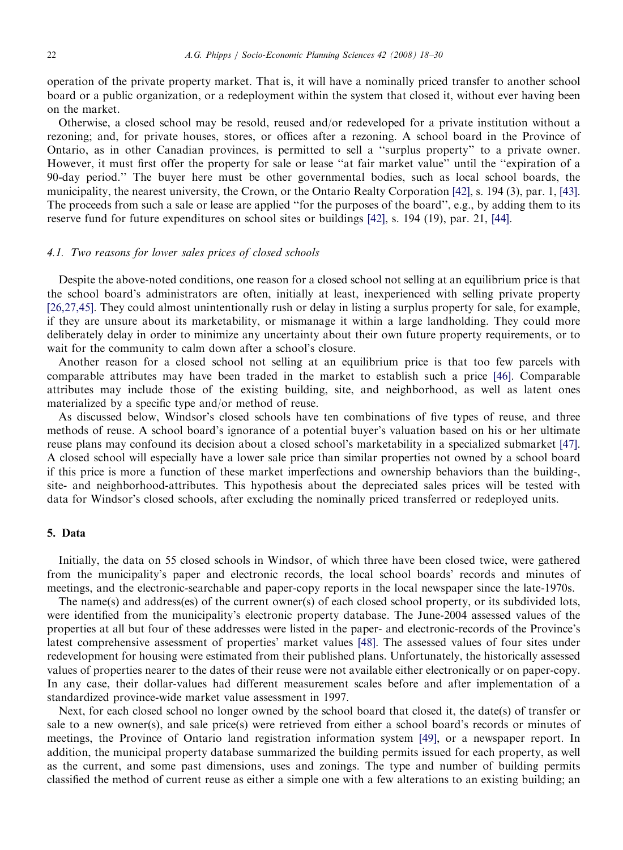operation of the private property market. That is, it will have a nominally priced transfer to another school board or a public organization, or a redeployment within the system that closed it, without ever having been on the market.

Otherwise, a closed school may be resold, reused and/or redeveloped for a private institution without a rezoning; and, for private houses, stores, or offices after a rezoning. A school board in the Province of Ontario, as in other Canadian provinces, is permitted to sell a ''surplus property'' to a private owner. However, it must first offer the property for sale or lease "at fair market value" until the "expiration of a 90-day period.'' The buyer here must be other governmental bodies, such as local school boards, the municipality, the nearest university, the Crown, or the Ontario Realty Corporation [\[42\],](#page-12-0) s. 194 (3), par. 1, [\[43\].](#page-12-0) The proceeds from such a sale or lease are applied ''for the purposes of the board'', e.g., by adding them to its reserve fund for future expenditures on school sites or buildings [\[42\],](#page-12-0) s. 194 (19), par. 21, [\[44\]](#page-12-0).

#### 4.1. Two reasons for lower sales prices of closed schools

Despite the above-noted conditions, one reason for a closed school not selling at an equilibrium price is that the school board's administrators are often, initially at least, inexperienced with selling private property [\[26,27,45\].](#page-12-0) They could almost unintentionally rush or delay in listing a surplus property for sale, for example, if they are unsure about its marketability, or mismanage it within a large landholding. They could more deliberately delay in order to minimize any uncertainty about their own future property requirements, or to wait for the community to calm down after a school's closure.

Another reason for a closed school not selling at an equilibrium price is that too few parcels with comparable attributes may have been traded in the market to establish such a price [\[46\].](#page-12-0) Comparable attributes may include those of the existing building, site, and neighborhood, as well as latent ones materialized by a specific type and/or method of reuse.

As discussed below, Windsor's closed schools have ten combinations of five types of reuse, and three methods of reuse. A school board's ignorance of a potential buyer's valuation based on his or her ultimate reuse plans may confound its decision about a closed school's marketability in a specialized submarket [\[47\].](#page-12-0) A closed school will especially have a lower sale price than similar properties not owned by a school board if this price is more a function of these market imperfections and ownership behaviors than the building-, site- and neighborhood-attributes. This hypothesis about the depreciated sales prices will be tested with data for Windsor's closed schools, after excluding the nominally priced transferred or redeployed units.

#### 5. Data

Initially, the data on 55 closed schools in Windsor, of which three have been closed twice, were gathered from the municipality's paper and electronic records, the local school boards' records and minutes of meetings, and the electronic-searchable and paper-copy reports in the local newspaper since the late-1970s.

The name(s) and address(es) of the current owner(s) of each closed school property, or its subdivided lots, were identified from the municipality's electronic property database. The June-2004 assessed values of the properties at all but four of these addresses were listed in the paper- and electronic-records of the Province's latest comprehensive assessment of properties' market values [\[48\]](#page-12-0). The assessed values of four sites under redevelopment for housing were estimated from their published plans. Unfortunately, the historically assessed values of properties nearer to the dates of their reuse were not available either electronically or on paper-copy. In any case, their dollar-values had different measurement scales before and after implementation of a standardized province-wide market value assessment in 1997.

Next, for each closed school no longer owned by the school board that closed it, the date(s) of transfer or sale to a new owner(s), and sale price(s) were retrieved from either a school board's records or minutes of meetings, the Province of Ontario land registration information system [\[49\],](#page-12-0) or a newspaper report. In addition, the municipal property database summarized the building permits issued for each property, as well as the current, and some past dimensions, uses and zonings. The type and number of building permits classified the method of current reuse as either a simple one with a few alterations to an existing building; an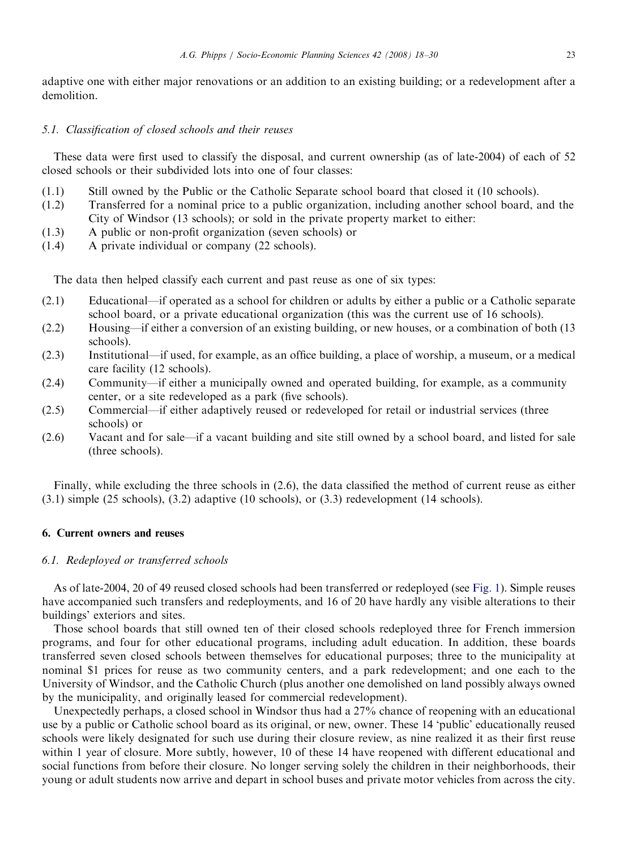adaptive one with either major renovations or an addition to an existing building; or a redevelopment after a demolition.

## 5.1. Classification of closed schools and their reuses

These data were first used to classify the disposal, and current ownership (as of late-2004) of each of 52 closed schools or their subdivided lots into one of four classes:

- (1.1) Still owned by the Public or the Catholic Separate school board that closed it (10 schools).
- (1.2) Transferred for a nominal price to a public organization, including another school board, and the City of Windsor (13 schools); or sold in the private property market to either:
- (1.3) A public or non-profit organization (seven schools) or
- (1.4) A private individual or company (22 schools).

The data then helped classify each current and past reuse as one of six types:

- (2.1) Educational—if operated as a school for children or adults by either a public or a Catholic separate school board, or a private educational organization (this was the current use of 16 schools).
- (2.2) Housing—if either a conversion of an existing building, or new houses, or a combination of both (13 schools).
- (2.3) Institutional—if used, for example, as an office building, a place of worship, a museum, or a medical care facility (12 schools).
- (2.4) Community—if either a municipally owned and operated building, for example, as a community center, or a site redeveloped as a park (five schools).
- (2.5) Commercial—if either adaptively reused or redeveloped for retail or industrial services (three schools) or
- (2.6) Vacant and for sale—if a vacant building and site still owned by a school board, and listed for sale (three schools).

Finally, while excluding the three schools in (2.6), the data classified the method of current reuse as either (3.1) simple (25 schools), (3.2) adaptive (10 schools), or (3.3) redevelopment (14 schools).

## 6. Current owners and reuses

## 6.1. Redeployed or transferred schools

As of late-2004, 20 of 49 reused closed schools had been transferred or redeployed (see [Fig. 1](#page-6-0)). Simple reuses have accompanied such transfers and redeployments, and 16 of 20 have hardly any visible alterations to their buildings' exteriors and sites.

Those school boards that still owned ten of their closed schools redeployed three for French immersion programs, and four for other educational programs, including adult education. In addition, these boards transferred seven closed schools between themselves for educational purposes; three to the municipality at nominal \$1 prices for reuse as two community centers, and a park redevelopment; and one each to the University of Windsor, and the Catholic Church (plus another one demolished on land possibly always owned by the municipality, and originally leased for commercial redevelopment).

Unexpectedly perhaps, a closed school in Windsor thus had a 27% chance of reopening with an educational use by a public or Catholic school board as its original, or new, owner. These 14 'public' educationally reused schools were likely designated for such use during their closure review, as nine realized it as their first reuse within 1 year of closure. More subtly, however, 10 of these 14 have reopened with different educational and social functions from before their closure. No longer serving solely the children in their neighborhoods, their young or adult students now arrive and depart in school buses and private motor vehicles from across the city.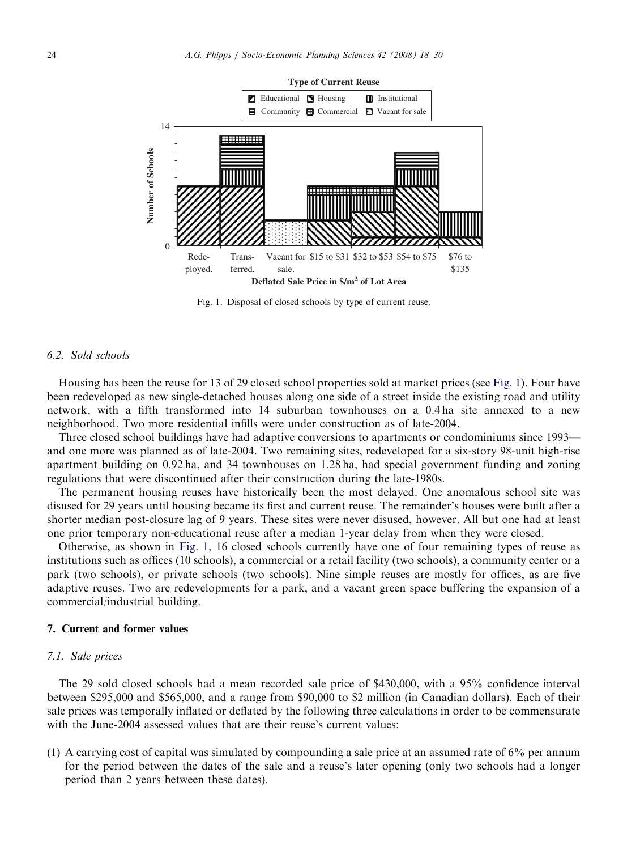<span id="page-6-0"></span>

Fig. 1. Disposal of closed schools by type of current reuse.

# 6.2. Sold schools

Housing has been the reuse for 13 of 29 closed school properties sold at market prices (see Fig. 1). Four have been redeveloped as new single-detached houses along one side of a street inside the existing road and utility network, with a fifth transformed into 14 suburban townhouses on a 0.4 ha site annexed to a new neighborhood. Two more residential infills were under construction as of late-2004.

Three closed school buildings have had adaptive conversions to apartments or condominiums since 1993 and one more was planned as of late-2004. Two remaining sites, redeveloped for a six-story 98-unit high-rise apartment building on 0.92 ha, and 34 townhouses on 1.28 ha, had special government funding and zoning regulations that were discontinued after their construction during the late-1980s.

The permanent housing reuses have historically been the most delayed. One anomalous school site was disused for 29 years until housing became its first and current reuse. The remainder's houses were built after a shorter median post-closure lag of 9 years. These sites were never disused, however. All but one had at least one prior temporary non-educational reuse after a median 1-year delay from when they were closed.

Otherwise, as shown in Fig. 1, 16 closed schools currently have one of four remaining types of reuse as institutions such as offices (10 schools), a commercial or a retail facility (two schools), a community center or a park (two schools), or private schools (two schools). Nine simple reuses are mostly for offices, as are five adaptive reuses. Two are redevelopments for a park, and a vacant green space buffering the expansion of a commercial/industrial building.

#### 7. Current and former values

# 7.1. Sale prices

The 29 sold closed schools had a mean recorded sale price of \$430,000, with a 95% confidence interval between \$295,000 and \$565,000, and a range from \$90,000 to \$2 million (in Canadian dollars). Each of their sale prices was temporally inflated or deflated by the following three calculations in order to be commensurate with the June-2004 assessed values that are their reuse's current values:

(1) A carrying cost of capital was simulated by compounding a sale price at an assumed rate of 6% per annum for the period between the dates of the sale and a reuse's later opening (only two schools had a longer period than 2 years between these dates).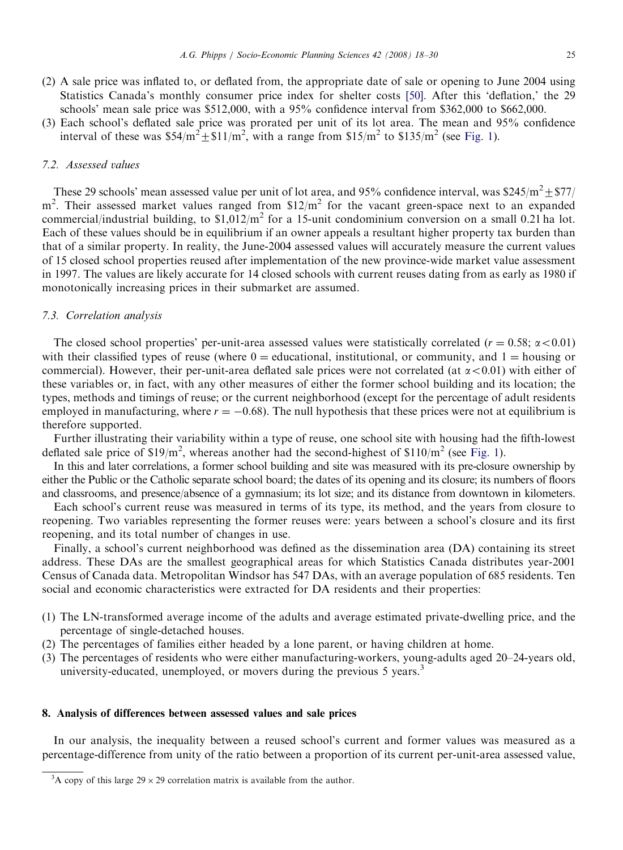- (2) A sale price was inflated to, or deflated from, the appropriate date of sale or opening to June 2004 using Statistics Canada's monthly consumer price index for shelter costs [\[50\]](#page-12-0). After this 'deflation,' the 29 schools' mean sale price was \$512,000, with a 95% confidence interval from \$362,000 to \$662,000.
- (3) Each school's deflated sale price was prorated per unit of its lot area. The mean and 95% confidence interval of these was  $$54/m^2 + $11/m^2$ , with a range from  $$15/m^2$  to  $$135/m^2$  (see [Fig. 1](#page-6-0)).

# 7.2. Assessed values

These 29 schools' mean assessed value per unit of lot area, and 95% confidence interval, was \$245/m<sup>2</sup>  $\pm$  \$77/  $m<sup>2</sup>$ . Their assessed market values ranged from \$12/m<sup>2</sup> for the vacant green-space next to an expanded commercial/industrial building, to  $$1,012/m^2$  for a 15-unit condominium conversion on a small 0.21 ha lot. Each of these values should be in equilibrium if an owner appeals a resultant higher property tax burden than that of a similar property. In reality, the June-2004 assessed values will accurately measure the current values of 15 closed school properties reused after implementation of the new province-wide market value assessment in 1997. The values are likely accurate for 14 closed schools with current reuses dating from as early as 1980 if monotonically increasing prices in their submarket are assumed.

#### 7.3. Correlation analysis

The closed school properties' per-unit-area assessed values were statistically correlated ( $r = 0.58$ ;  $\alpha < 0.01$ ) with their classified types of reuse (where  $0 =$  educational, institutional, or community, and  $1 =$  housing or commercial). However, their per-unit-area deflated sale prices were not correlated (at  $\alpha$  < 0.01) with either of these variables or, in fact, with any other measures of either the former school building and its location; the types, methods and timings of reuse; or the current neighborhood (except for the percentage of adult residents employed in manufacturing, where  $r = -0.68$ ). The null hypothesis that these prices were not at equilibrium is therefore supported.

Further illustrating their variability within a type of reuse, one school site with housing had the fifth-lowest deflated sale price of  $$19/m^2$ , whereas another had the second-highest of  $$110/m^2$  (see [Fig. 1\)](#page-6-0).

In this and later correlations, a former school building and site was measured with its pre-closure ownership by either the Public or the Catholic separate school board; the dates of its opening and its closure; its numbers of floors and classrooms, and presence/absence of a gymnasium; its lot size; and its distance from downtown in kilometers.

Each school's current reuse was measured in terms of its type, its method, and the years from closure to reopening. Two variables representing the former reuses were: years between a school's closure and its first reopening, and its total number of changes in use.

Finally, a school's current neighborhood was defined as the dissemination area (DA) containing its street address. These DAs are the smallest geographical areas for which Statistics Canada distributes year-2001 Census of Canada data. Metropolitan Windsor has 547 DAs, with an average population of 685 residents. Ten social and economic characteristics were extracted for DA residents and their properties:

- (1) The LN-transformed average income of the adults and average estimated private-dwelling price, and the percentage of single-detached houses.
- (2) The percentages of families either headed by a lone parent, or having children at home.
- (3) The percentages of residents who were either manufacturing-workers, young-adults aged 20–24-years old, university-educated, unemployed, or movers during the previous 5 years.<sup>3</sup>

## 8. Analysis of differences between assessed values and sale prices

In our analysis, the inequality between a reused school's current and former values was measured as a percentage-difference from unity of the ratio between a proportion of its current per-unit-area assessed value,

<sup>&</sup>lt;sup>3</sup>A copy of this large  $29 \times 29$  correlation matrix is available from the author.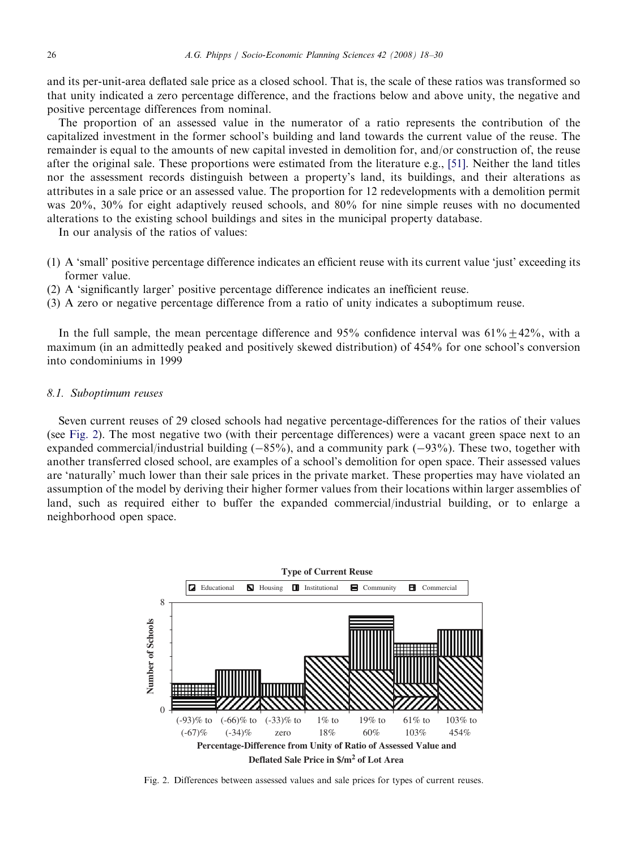and its per-unit-area deflated sale price as a closed school. That is, the scale of these ratios was transformed so that unity indicated a zero percentage difference, and the fractions below and above unity, the negative and positive percentage differences from nominal.

The proportion of an assessed value in the numerator of a ratio represents the contribution of the capitalized investment in the former school's building and land towards the current value of the reuse. The remainder is equal to the amounts of new capital invested in demolition for, and/or construction of, the reuse after the original sale. These proportions were estimated from the literature e.g., [\[51\].](#page-12-0) Neither the land titles nor the assessment records distinguish between a property's land, its buildings, and their alterations as attributes in a sale price or an assessed value. The proportion for 12 redevelopments with a demolition permit was 20%, 30% for eight adaptively reused schools, and 80% for nine simple reuses with no documented alterations to the existing school buildings and sites in the municipal property database.

In our analysis of the ratios of values:

- (1) A 'small' positive percentage difference indicates an efficient reuse with its current value 'just' exceeding its former value.
- (2) A 'significantly larger' positive percentage difference indicates an inefficient reuse.
- (3) A zero or negative percentage difference from a ratio of unity indicates a suboptimum reuse.

In the full sample, the mean percentage difference and 95% confidence interval was  $61\% + 42\%$ , with a maximum (in an admittedly peaked and positively skewed distribution) of 454% for one school's conversion into condominiums in 1999

#### 8.1. Suboptimum reuses

Seven current reuses of 29 closed schools had negative percentage-differences for the ratios of their values (see Fig. 2). The most negative two (with their percentage differences) were a vacant green space next to an expanded commercial/industrial building  $(-85%)$ , and a community park  $(-93%)$ . These two, together with another transferred closed school, are examples of a school's demolition for open space. Their assessed values are 'naturally' much lower than their sale prices in the private market. These properties may have violated an assumption of the model by deriving their higher former values from their locations within larger assemblies of land, such as required either to buffer the expanded commercial/industrial building, or to enlarge a neighborhood open space.



Fig. 2. Differences between assessed values and sale prices for types of current reuses.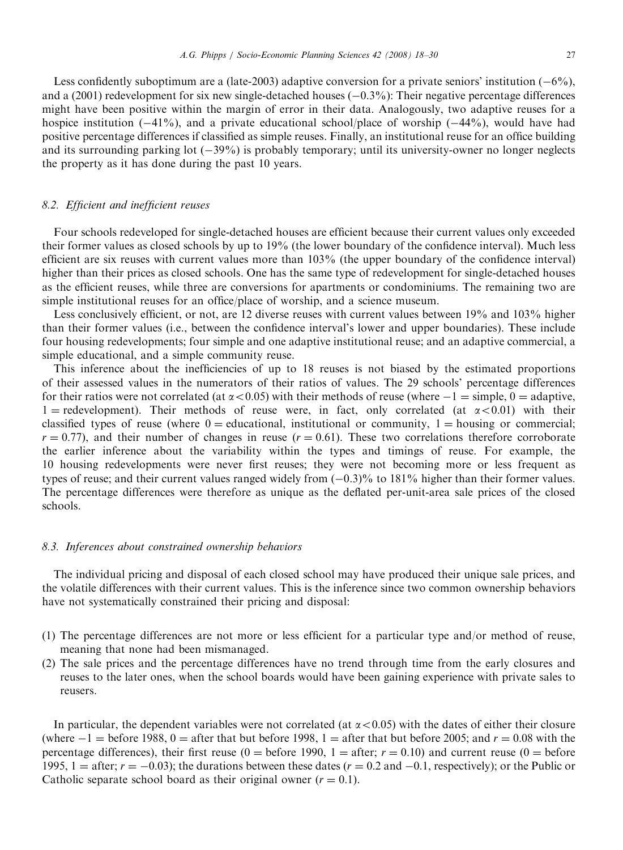Less confidently suboptimum are a (late-2003) adaptive conversion for a private seniors' institution  $(-6\%)$ , and a  $(2001)$  redevelopment for six new single-detached houses  $(-0.3\%)$ : Their negative percentage differences might have been positive within the margin of error in their data. Analogously, two adaptive reuses for a hospice institution  $(-41\%)$ , and a private educational school/place of worship  $(-44\%)$ , would have had positive percentage differences if classified as simple reuses. Finally, an institutional reuse for an office building and its surrounding parking lot  $(-39%)$  is probably temporary; until its university-owner no longer neglects the property as it has done during the past 10 years.

## 8.2. Efficient and inefficient reuses

Four schools redeveloped for single-detached houses are efficient because their current values only exceeded their former values as closed schools by up to 19% (the lower boundary of the confidence interval). Much less efficient are six reuses with current values more than 103% (the upper boundary of the confidence interval) higher than their prices as closed schools. One has the same type of redevelopment for single-detached houses as the efficient reuses, while three are conversions for apartments or condominiums. The remaining two are simple institutional reuses for an office/place of worship, and a science museum.

Less conclusively efficient, or not, are 12 diverse reuses with current values between 19% and 103% higher than their former values (i.e., between the confidence interval's lower and upper boundaries). These include four housing redevelopments; four simple and one adaptive institutional reuse; and an adaptive commercial, a simple educational, and a simple community reuse.

This inference about the inefficiencies of up to 18 reuses is not biased by the estimated proportions of their assessed values in the numerators of their ratios of values. The 29 schools' percentage differences for their ratios were not correlated (at  $\alpha$  < 0.05) with their methods of reuse (where  $-1 =$  simple, 0 = adaptive,  $1 =$  redevelopment). Their methods of reuse were, in fact, only correlated (at  $\alpha < 0.01$ ) with their classified types of reuse (where  $0 =$  educational, institutional or community,  $1 =$  housing or commercial;  $r = 0.77$ ), and their number of changes in reuse ( $r = 0.61$ ). These two correlations therefore corroborate the earlier inference about the variability within the types and timings of reuse. For example, the 10 housing redevelopments were never first reuses; they were not becoming more or less frequent as types of reuse; and their current values ranged widely from  $(-0.3)$ % to 181% higher than their former values. The percentage differences were therefore as unique as the deflated per-unit-area sale prices of the closed schools.

#### 8.3. Inferences about constrained ownership behaviors

The individual pricing and disposal of each closed school may have produced their unique sale prices, and the volatile differences with their current values. This is the inference since two common ownership behaviors have not systematically constrained their pricing and disposal:

- (1) The percentage differences are not more or less efficient for a particular type and/or method of reuse, meaning that none had been mismanaged.
- (2) The sale prices and the percentage differences have no trend through time from the early closures and reuses to the later ones, when the school boards would have been gaining experience with private sales to reusers.

In particular, the dependent variables were not correlated (at  $\alpha$  < 0.05) with the dates of either their closure (where  $-1 =$  before 1988, 0 = after that but before 1998, 1 = after that but before 2005; and  $r = 0.08$  with the percentage differences), their first reuse (0 = before 1990, 1 = after;  $r = 0.10$ ) and current reuse (0 = before 1995, 1 = after;  $r = -0.03$ ); the durations between these dates  $(r = 0.2 \text{ and } -0.1$ , respectively); or the Public or Catholic separate school board as their original owner  $(r = 0.1)$ .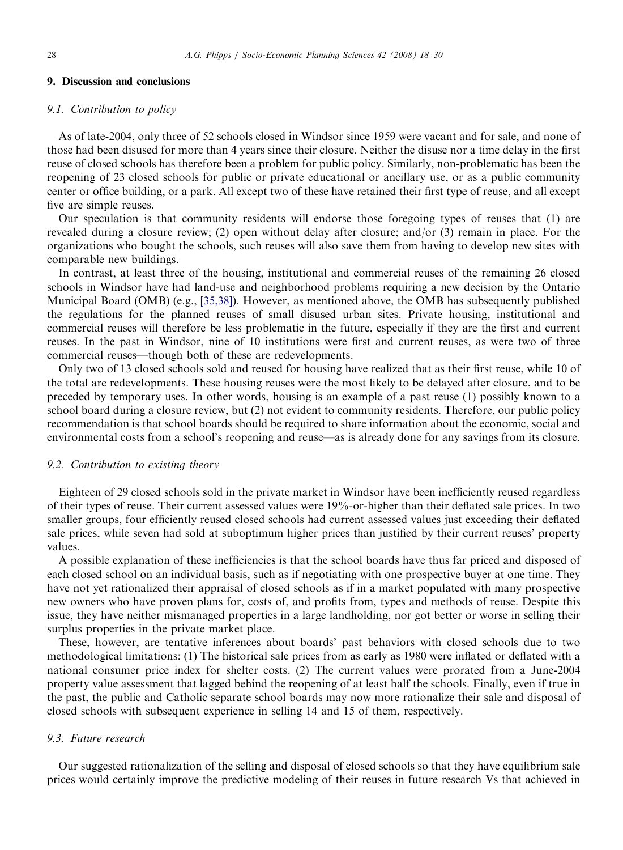#### 9. Discussion and conclusions

#### 9.1. Contribution to policy

As of late-2004, only three of 52 schools closed in Windsor since 1959 were vacant and for sale, and none of those had been disused for more than 4 years since their closure. Neither the disuse nor a time delay in the first reuse of closed schools has therefore been a problem for public policy. Similarly, non-problematic has been the reopening of 23 closed schools for public or private educational or ancillary use, or as a public community center or office building, or a park. All except two of these have retained their first type of reuse, and all except five are simple reuses.

Our speculation is that community residents will endorse those foregoing types of reuses that (1) are revealed during a closure review; (2) open without delay after closure; and/or (3) remain in place. For the organizations who bought the schools, such reuses will also save them from having to develop new sites with comparable new buildings.

In contrast, at least three of the housing, institutional and commercial reuses of the remaining 26 closed schools in Windsor have had land-use and neighborhood problems requiring a new decision by the Ontario Municipal Board (OMB) (e.g., [\[35,38\]](#page-12-0)). However, as mentioned above, the OMB has subsequently published the regulations for the planned reuses of small disused urban sites. Private housing, institutional and commercial reuses will therefore be less problematic in the future, especially if they are the first and current reuses. In the past in Windsor, nine of 10 institutions were first and current reuses, as were two of three commercial reuses—though both of these are redevelopments.

Only two of 13 closed schools sold and reused for housing have realized that as their first reuse, while 10 of the total are redevelopments. These housing reuses were the most likely to be delayed after closure, and to be preceded by temporary uses. In other words, housing is an example of a past reuse (1) possibly known to a school board during a closure review, but (2) not evident to community residents. Therefore, our public policy recommendation is that school boards should be required to share information about the economic, social and environmental costs from a school's reopening and reuse—as is already done for any savings from its closure.

#### 9.2. Contribution to existing theory

Eighteen of 29 closed schools sold in the private market in Windsor have been inefficiently reused regardless of their types of reuse. Their current assessed values were 19%-or-higher than their deflated sale prices. In two smaller groups, four efficiently reused closed schools had current assessed values just exceeding their deflated sale prices, while seven had sold at suboptimum higher prices than justified by their current reuses' property values.

A possible explanation of these inefficiencies is that the school boards have thus far priced and disposed of each closed school on an individual basis, such as if negotiating with one prospective buyer at one time. They have not yet rationalized their appraisal of closed schools as if in a market populated with many prospective new owners who have proven plans for, costs of, and profits from, types and methods of reuse. Despite this issue, they have neither mismanaged properties in a large landholding, nor got better or worse in selling their surplus properties in the private market place.

These, however, are tentative inferences about boards' past behaviors with closed schools due to two methodological limitations: (1) The historical sale prices from as early as 1980 were inflated or deflated with a national consumer price index for shelter costs. (2) The current values were prorated from a June-2004 property value assessment that lagged behind the reopening of at least half the schools. Finally, even if true in the past, the public and Catholic separate school boards may now more rationalize their sale and disposal of closed schools with subsequent experience in selling 14 and 15 of them, respectively.

#### 9.3. Future research

Our suggested rationalization of the selling and disposal of closed schools so that they have equilibrium sale prices would certainly improve the predictive modeling of their reuses in future research Vs that achieved in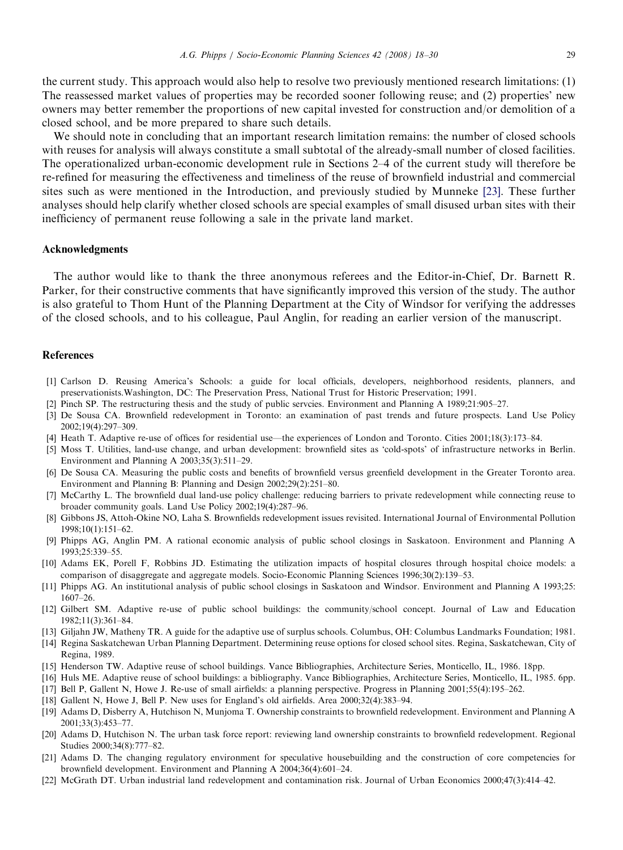<span id="page-11-0"></span>the current study. This approach would also help to resolve two previously mentioned research limitations: (1) The reassessed market values of properties may be recorded sooner following reuse; and (2) properties' new owners may better remember the proportions of new capital invested for construction and/or demolition of a closed school, and be more prepared to share such details.

We should note in concluding that an important research limitation remains: the number of closed schools with reuses for analysis will always constitute a small subtotal of the already-small number of closed facilities. The operationalized urban-economic development rule in Sections 2–4 of the current study will therefore be re-refined for measuring the effectiveness and timeliness of the reuse of brownfield industrial and commercial sites such as were mentioned in the Introduction, and previously studied by Munneke [\[23\].](#page-12-0) These further analyses should help clarify whether closed schools are special examples of small disused urban sites with their inefficiency of permanent reuse following a sale in the private land market.

#### Acknowledgments

The author would like to thank the three anonymous referees and the Editor-in-Chief, Dr. Barnett R. Parker, for their constructive comments that have significantly improved this version of the study. The author is also grateful to Thom Hunt of the Planning Department at the City of Windsor for verifying the addresses of the closed schools, and to his colleague, Paul Anglin, for reading an earlier version of the manuscript.

## References

- [1] Carlson D. Reusing America's Schools: a guide for local officials, developers, neighborhood residents, planners, and preservationists.Washington, DC: The Preservation Press, National Trust for Historic Preservation; 1991.
- [2] Pinch SP. The restructuring thesis and the study of public servcies. Environment and Planning A 1989;21:905–27.
- [3] De Sousa CA. Brownfield redevelopment in Toronto: an examination of past trends and future prospects. Land Use Policy 2002;19(4):297–309.
- [4] Heath T. Adaptive re-use of offices for residential use—the experiences of London and Toronto. Cities 2001;18(3):173–84.
- [5] Moss T. Utilities, land-use change, and urban development: brownfield sites as 'cold-spots' of infrastructure networks in Berlin. Environment and Planning A 2003;35(3):511–29.
- [6] De Sousa CA. Measuring the public costs and benefits of brownfield versus greenfield development in the Greater Toronto area. Environment and Planning B: Planning and Design 2002;29(2):251–80.
- [7] McCarthy L. The brownfield dual land-use policy challenge: reducing barriers to private redevelopment while connecting reuse to broader community goals. Land Use Policy 2002;19(4):287–96.
- [8] Gibbons JS, Attoh-Okine NO, Laha S. Brownfields redevelopment issues revisited. International Journal of Environmental Pollution 1998;10(1):151–62.
- [9] Phipps AG, Anglin PM. A rational economic analysis of public school closings in Saskatoon. Environment and Planning A 1993;25:339–55.
- [10] Adams EK, Porell F, Robbins JD. Estimating the utilization impacts of hospital closures through hospital choice models: a comparison of disaggregate and aggregate models. Socio-Economic Planning Sciences 1996;30(2):139–53.
- [11] Phipps AG. An institutional analysis of public school closings in Saskatoon and Windsor. Environment and Planning A 1993;25: 1607–26.
- [12] Gilbert SM. Adaptive re-use of public school buildings: the community/school concept. Journal of Law and Education 1982;11(3):361–84.
- [13] Giljahn JW, Matheny TR. A guide for the adaptive use of surplus schools. Columbus, OH: Columbus Landmarks Foundation; 1981.
- [14] Regina Saskatchewan Urban Planning Department. Determining reuse options for closed school sites. Regina, Saskatchewan, City of Regina, 1989.
- [15] Henderson TW. Adaptive reuse of school buildings. Vance Bibliographies, Architecture Series, Monticello, IL, 1986. 18pp.
- [16] Huls ME. Adaptive reuse of school buildings: a bibliography. Vance Bibliographies, Architecture Series, Monticello, IL, 1985. 6pp.
- [17] Bell P, Gallent N, Howe J. Re-use of small airfields: a planning perspective. Progress in Planning 2001;55(4):195–262.
- [18] Gallent N, Howe J, Bell P. New uses for England's old airfields. Area 2000;32(4):383–94.
- [19] Adams D, Disberry A, Hutchison N, Munjoma T. Ownership constraints to brownfield redevelopment. Environment and Planning A 2001;33(3):453–77.
- [20] Adams D, Hutchison N. The urban task force report: reviewing land ownership constraints to brownfield redevelopment. Regional Studies 2000;34(8):777–82.
- [21] Adams D. The changing regulatory environment for speculative housebuilding and the construction of core competencies for brownfield development. Environment and Planning A 2004;36(4):601–24.
- [22] McGrath DT. Urban industrial land redevelopment and contamination risk. Journal of Urban Economics 2000;47(3):414–42.